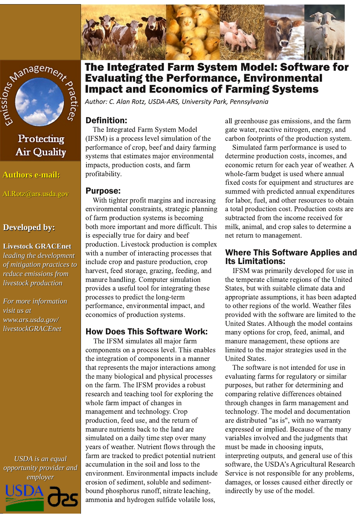



# Protecting **Air Quality**

**Authors e-mail:** 

Al.Rotz@ars.usda.gov

# **Developed by:**

#### **Livestock GRACEnet**

leading the development of mitigation practices to reduce emissions from livestock production

For more information visit us at www.ars.usda.gov/ livestockGRACEnet

**USDA** is an equal opportunity provider and employer



The Integrated Farm System Model: Software for **Evaluating the Performance, Environmental Impact and Economics of Farming Systems** 

Author: C. Alan Rotz, USDA-ARS, University Park, Pennsylvania

# **Definition:**

The Integrated Farm System Model (IFSM) is a process level simulation of the performance of crop, beef and dairy farming systems that estimates major environmental impacts, production costs, and farm profitability.

#### **Purpose:**

With tighter profit margins and increasing environmental constraints, strategic planning of farm production systems is becoming both more important and more difficult. This is especially true for dairy and beef production. Livestock production is complex with a number of interacting processes that include crop and pasture production, crop harvest, feed storage, grazing, feeding, and manure handling. Computer simulation provides a useful tool for integrating these processes to predict the long-term performance, environmental impact, and economics of production systems.

## **How Does This Software Work:**

The IFSM simulates all major farm components on a process level. This enables the integration of components in a manner that represents the major interactions among the many biological and physical processes on the farm. The IFSM provides a robust research and teaching tool for exploring the whole farm impact of changes in management and technology. Crop production, feed use, and the return of manure nutrients back to the land are simulated on a daily time step over many years of weather. Nutrient flows through the farm are tracked to predict potential nutrient accumulation in the soil and loss to the environment. Environmental impacts include erosion of sediment, soluble and sedimentbound phosphorus runoff, nitrate leaching, ammonia and hydrogen sulfide volatile loss,

all greenhouse gas emissions, and the farm gate water, reactive nitrogen, energy, and carbon footprints of the production system.

Simulated farm performance is used to determine production costs, incomes, and economic return for each year of weather. A whole-farm budget is used where annual fixed costs for equipment and structures are summed with predicted annual expenditures for labor, fuel, and other resources to obtain a total production cost. Production costs are subtracted from the income received for milk, animal, and crop sales to determine a net return to management.

# **Where This Software Applies and Its Limitations:**

IFSM was primarily developed for use in the temperate climate regions of the United States, but with suitable climate data and appropriate assumptions, it has been adapted to other regions of the world. Weather files provided with the software are limited to the United States. Although the model contains many options for crop, feed, animal, and manure management, these options are limited to the major strategies used in the **United States.** 

The software is not intended for use in evaluating farms for regulatory or similar purposes, but rather for determining and comparing relative differences obtained through changes in farm management and technology. The model and documentation are distributed "as is", with no warranty expressed or implied. Because of the many variables involved and the judgments that must be made in choosing inputs, interpreting outputs, and general use of this software, the USDA's Agricultural Research Service is not responsible for any problems, damages, or losses caused either directly or indirectly by use of the model.